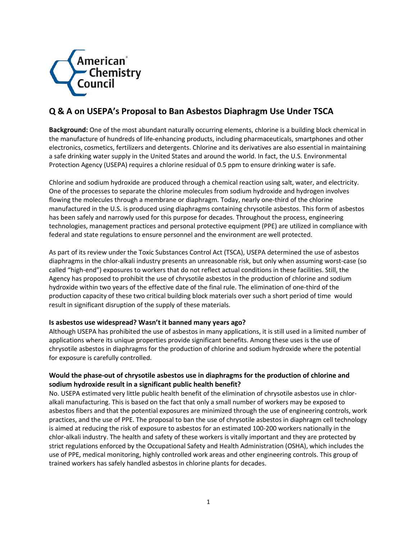

# **Q & A on USEPA's Proposal to Ban Asbestos Diaphragm Use Under TSCA**

**Background:** One of the most abundant naturally occurring elements, chlorine is a building block chemical in the manufacture of hundreds of life-enhancing products, including pharmaceuticals, smartphones and other electronics, cosmetics, fertilizers and detergents. Chlorine and its derivatives are also essential in maintaining a safe drinking water supply in the United States and around the world. In fact, the U.S. Environmental Protection Agency (USEPA) requires a chlorine residual of 0.5 ppm to ensure drinking water is safe.

Chlorine and sodium hydroxide are produced through a chemical reaction using salt, water, and electricity. One of the processes to separate the chlorine molecules from sodium hydroxide and hydrogen involves flowing the molecules through a membrane or diaphragm. Today, nearly one-third of the chlorine manufactured in the U.S. is produced using diaphragms containing chrysotile asbestos. This form of asbestos has been safely and narrowly used for this purpose for decades. Throughout the process, engineering technologies, management practices and personal protective equipment (PPE) are utilized in compliance with federal and state regulations to ensure personnel and the environment are well protected.

As part of its review under the Toxic Substances Control Act (TSCA), USEPA determined the use of asbestos diaphragms in the chlor-alkali industry presents an unreasonable risk, but only when assuming worst-case (so called "high-end") exposures to workers that do not reflect actual conditions in these facilities. Still, the Agency has proposed to prohibit the use of chrysotile asbestos in the production of chlorine and sodium hydroxide within two years of the effective date of the final rule. The elimination of one-third of the production capacity of these two critical building block materials over such a short period of time would result in significant disruption of the supply of these materials.

#### **Is asbestos use widespread? Wasn't it banned many years ago?**

Although USEPA has prohibited the use of asbestos in many applications, it is still used in a limited number of applications where its unique properties provide significant benefits. Among these uses is the use of chrysotile asbestos in diaphragms for the production of chlorine and sodium hydroxide where the potential for exposure is carefully controlled.

# **Would the phase-out of chrysotile asbestos use in diaphragms for the production of chlorine and sodium hydroxide result in a significant public health benefit?**

No. USEPA estimated very little public health benefit of the elimination of chrysotile asbestos use in chloralkali manufacturing. This is based on the fact that only a small number of workers may be exposed to asbestos fibers and that the potential exposures are minimized through the use of engineering controls, work practices, and the use of PPE. The proposal to ban the use of chrysotile asbestos in diaphragm cell technology is aimed at reducing the risk of exposure to asbestos for an estimated 100-200 workers nationally in the chlor-alkali industry. The health and safety of these workers is vitally important and they are protected by strict regulations enforced by the Occupational Safety and Health Administration (OSHA), which includes the use of PPE, medical monitoring, highly controlled work areas and other engineering controls. This group of trained workers has safely handled asbestos in chlorine plants for decades.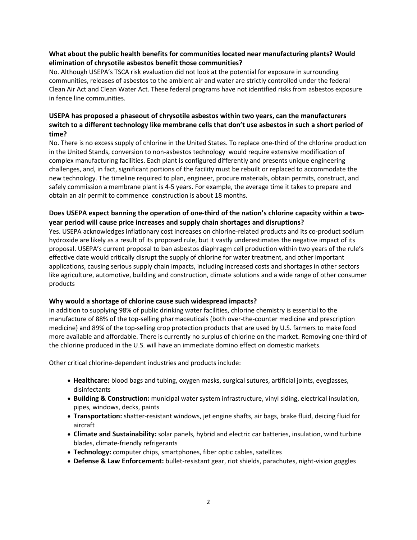# **What about the public health benefits for communities located near manufacturing plants? Would elimination of chrysotile asbestos benefit those communities?**

No. Although USEPA's TSCA risk evaluation did not look at the potential for exposure in surrounding communities, releases of asbestos to the ambient air and water are strictly controlled under the federal Clean Air Act and Clean Water Act. These federal programs have not identified risks from asbestos exposure in fence line communities.

# **USEPA has proposed a phaseout of chrysotile asbestos within two years, can the manufacturers switch to a different technology like membrane cells that don't use asbestos in such a short period of time?**

No. There is no excess supply of chlorine in the United States. To replace one-third of the chlorine production in the United Stands, conversion to non-asbestos technology would require extensive modification of complex manufacturing facilities. Each plant is configured differently and presents unique engineering challenges, and, in fact, significant portions of the facility must be rebuilt or replaced to accommodate the new technology. The timeline required to plan, engineer, procure materials, obtain permits, construct, and safely commission a membrane plant is 4-5 years. For example, the average time it takes to prepare and obtain an air permit to commence construction is about 18 months.

# **Does USEPA expect banning the operation of one-third of the nation's chlorine capacity within a twoyear period will cause price increases and supply chain shortages and disruptions?**

Yes. USEPA acknowledges inflationary cost increases on chlorine-related products and its co-product sodium hydroxide are likely as a result of its proposed rule, but it vastly underestimates the negative impact of its proposal. USEPA's current proposal to ban asbestos diaphragm cell production within two years of the rule's effective date would critically disrupt the supply of chlorine for water treatment, and other important applications, causing serious supply chain impacts, including increased costs and shortages in other sectors like agriculture, automotive, building and construction, climate solutions and a wide range of other consumer products

#### **Why would a shortage of chlorine cause such widespread impacts?**

In addition to supplying 98% of public drinking water facilities, chlorine chemistry is essential to the manufacture of 88% of the top-selling pharmaceuticals (both over-the-counter medicine and prescription medicine) and 89% of the top-selling crop protection products that are used by U.S. farmers to make food more available and affordable. There is currently no surplus of chlorine on the market. Removing one-third of the chlorine produced in the U.S. will have an immediate domino effect on domestic markets.

Other critical chlorine-dependent industries and products include:

- **Healthcare:** blood bags and tubing, oxygen masks, surgical sutures, artificial joints, eyeglasses, disinfectants
- **Building & Construction:** municipal water system infrastructure, vinyl siding, electrical insulation, pipes, windows, decks, paints
- **Transportation:** shatter-resistant windows, jet engine shafts, air bags, brake fluid, deicing fluid for aircraft
- **Climate and Sustainability:** solar panels, hybrid and electric car batteries, insulation, wind turbine blades, climate-friendly refrigerants
- **Technology:** computer chips, smartphones, fiber optic cables, satellites
- **Defense & Law Enforcement:** bullet-resistant gear, riot shields, parachutes, night-vision goggles